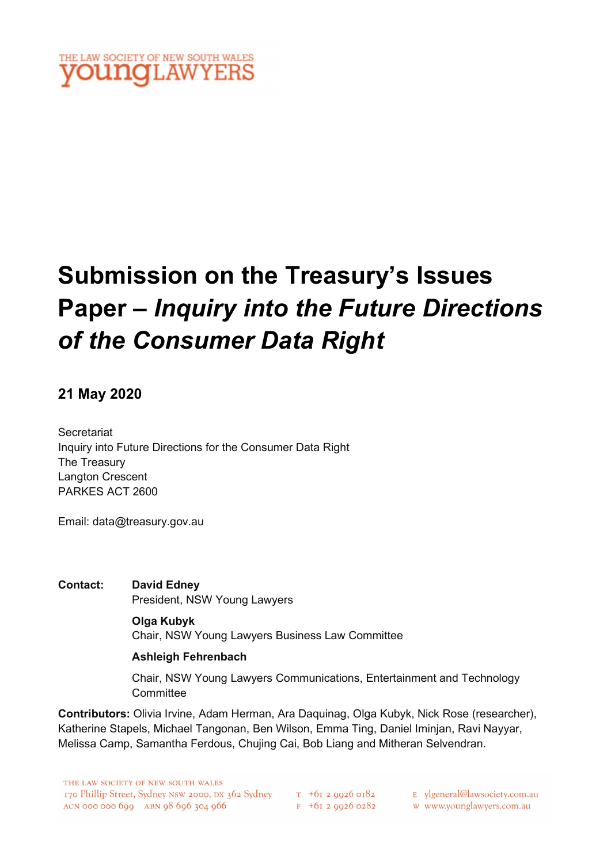## THE LAW SOCIETY OF NEW SOUTH WALES **INQLAWYERS**

## Submission on the Treasury's Issues Paper – Inquiry into the Future Directions of the Consumer Data Right

#### 21 May 2020

**Secretariat** Inquiry into Future Directions for the Consumer Data Right The Treasury Langton Crescent PARKES ACT 2600

Email: data@treasury.gov.au

Contact: David Edney President, NSW Young Lawyers

> Olga Kubyk Chair, NSW Young Lawyers Business Law Committee

#### Ashleigh Fehrenbach

Chair, NSW Young Lawyers Communications, Entertainment and Technology **Committee** 

Contributors: Olivia Irvine, Adam Herman, Ara Daquinag, Olga Kubyk, Nick Rose (researcher), Katherine Stapels, Michael Tangonan, Ben Wilson, Emma Ting, Daniel Iminjan, Ravi Nayyar, Melissa Camp, Samantha Ferdous, Chujing Cai, Bob Liang and Mitheran Selvendran.

THE LAW SOCIETY OF NEW SOUTH WALES 170 Phillip Street, Sydney NSW 2000, DX 362 Sydney T +61 2 9926 0182  $ACN$  000 000 600  $ABN$  08 606 304 066

 $F$  +61 2 9926 0282

E vlgeneral@lawsociety.com.au

w www.younglawyers.com.au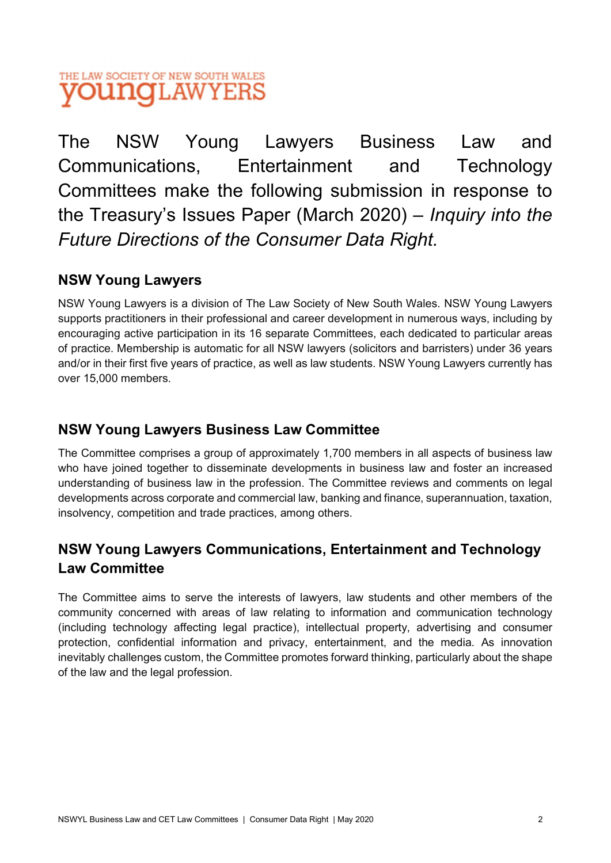The NSW Young Lawyers Business Law and Communications, Entertainment and Technology Committees make the following submission in response to the Treasury's Issues Paper (March 2020) – Inquiry into the Future Directions of the Consumer Data Right.

## NSW Young Lawyers

NSW Young Lawyers is a division of The Law Society of New South Wales. NSW Young Lawyers supports practitioners in their professional and career development in numerous ways, including by encouraging active participation in its 16 separate Committees, each dedicated to particular areas of practice. Membership is automatic for all NSW lawyers (solicitors and barristers) under 36 years and/or in their first five years of practice, as well as law students. NSW Young Lawyers currently has over 15,000 members.

### NSW Young Lawyers Business Law Committee

The Committee comprises a group of approximately 1,700 members in all aspects of business law who have joined together to disseminate developments in business law and foster an increased understanding of business law in the profession. The Committee reviews and comments on legal developments across corporate and commercial law, banking and finance, superannuation, taxation, insolvency, competition and trade practices, among others.

## NSW Young Lawyers Communications, Entertainment and Technology Law Committee

The Committee aims to serve the interests of lawyers, law students and other members of the community concerned with areas of law relating to information and communication technology (including technology affecting legal practice), intellectual property, advertising and consumer protection, confidential information and privacy, entertainment, and the media. As innovation inevitably challenges custom, the Committee promotes forward thinking, particularly about the shape of the law and the legal profession.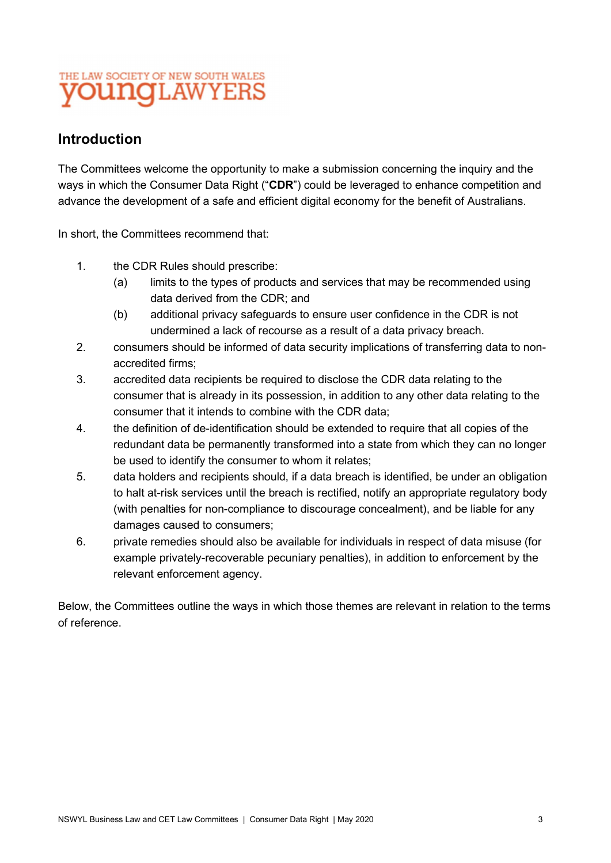## Introduction

The Committees welcome the opportunity to make a submission concerning the inquiry and the ways in which the Consumer Data Right ("CDR") could be leveraged to enhance competition and advance the development of a safe and efficient digital economy for the benefit of Australians.

In short, the Committees recommend that:

- 1. the CDR Rules should prescribe:
	- (a) limits to the types of products and services that may be recommended using data derived from the CDR; and
	- (b) additional privacy safeguards to ensure user confidence in the CDR is not undermined a lack of recourse as a result of a data privacy breach.
- 2. consumers should be informed of data security implications of transferring data to nonaccredited firms;
- 3. accredited data recipients be required to disclose the CDR data relating to the consumer that is already in its possession, in addition to any other data relating to the consumer that it intends to combine with the CDR data;
- 4. the definition of de-identification should be extended to require that all copies of the redundant data be permanently transformed into a state from which they can no longer be used to identify the consumer to whom it relates;
- 5. data holders and recipients should, if a data breach is identified, be under an obligation to halt at-risk services until the breach is rectified, notify an appropriate regulatory body (with penalties for non-compliance to discourage concealment), and be liable for any damages caused to consumers;
- 6. private remedies should also be available for individuals in respect of data misuse (for example privately-recoverable pecuniary penalties), in addition to enforcement by the relevant enforcement agency.

Below, the Committees outline the ways in which those themes are relevant in relation to the terms of reference.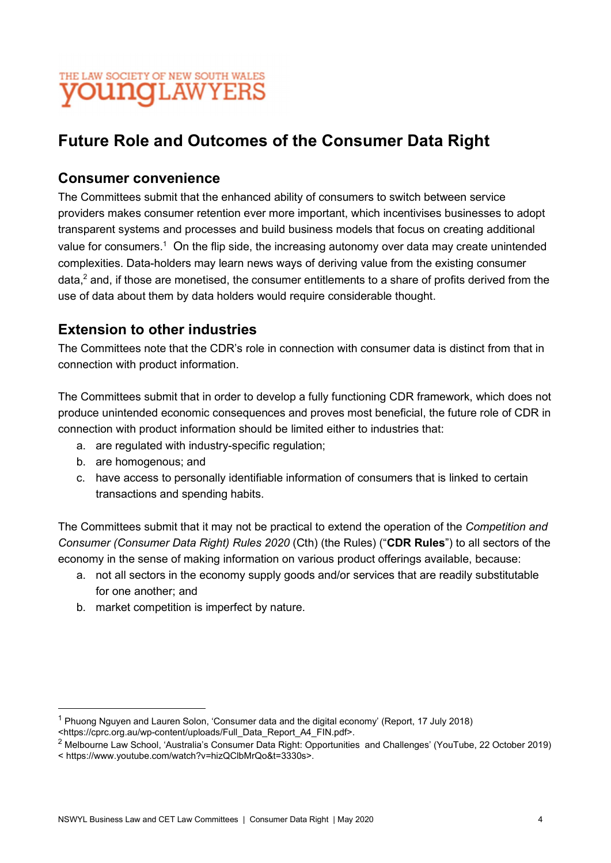

## Future Role and Outcomes of the Consumer Data Right

#### Consumer convenience

The Committees submit that the enhanced ability of consumers to switch between service providers makes consumer retention ever more important, which incentivises businesses to adopt transparent systems and processes and build business models that focus on creating additional value for consumers. $^{\rm 1}$  On the flip side, the increasing autonomy over data may create unintended complexities. Data-holders may learn news ways of deriving value from the existing consumer data,<sup>2</sup> and, if those are monetised, the consumer entitlements to a share of profits derived from the use of data about them by data holders would require considerable thought.

#### Extension to other industries

The Committees note that the CDR's role in connection with consumer data is distinct from that in connection with product information.

The Committees submit that in order to develop a fully functioning CDR framework, which does not produce unintended economic consequences and proves most beneficial, the future role of CDR in connection with product information should be limited either to industries that:

- a. are regulated with industry-specific regulation;
- b. are homogenous; and
- c. have access to personally identifiable information of consumers that is linked to certain transactions and spending habits.

The Committees submit that it may not be practical to extend the operation of the Competition and Consumer (Consumer Data Right) Rules 2020 (Cth) (the Rules) ("CDR Rules") to all sectors of the economy in the sense of making information on various product offerings available, because:

- a. not all sectors in the economy supply goods and/or services that are readily substitutable for one another; and
- b. market competition is imperfect by nature.

 $^{\text{1}}$  Phuong Nguyen and Lauren Solon, 'Consumer data and the digital economy' (Report, 17 July 2018)

<sup>&</sup>lt;https://cprc.org.au/wp-content/uploads/Full\_Data\_Report\_A4\_FIN.pdf>.

 $^2$  Melbourne Law School, 'Australia's Consumer Data Right: Opportunities and Challenges' (YouTube, 22 October 2019)

<sup>&</sup>lt; https://www.youtube.com/watch?v=hizQClbMrQo&t=3330s>.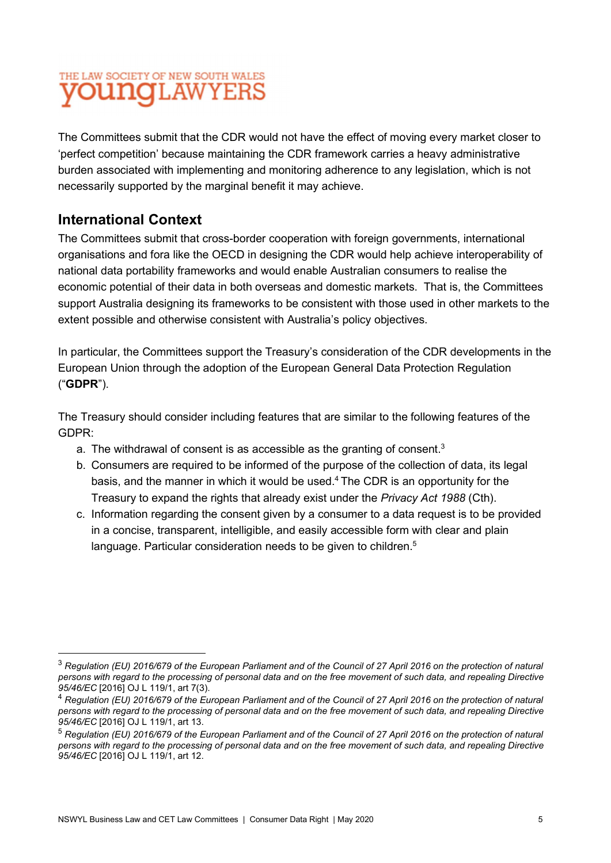The Committees submit that the CDR would not have the effect of moving every market closer to 'perfect competition' because maintaining the CDR framework carries a heavy administrative burden associated with implementing and monitoring adherence to any legislation, which is not necessarily supported by the marginal benefit it may achieve.

## International Context

The Committees submit that cross-border cooperation with foreign governments, international organisations and fora like the OECD in designing the CDR would help achieve interoperability of national data portability frameworks and would enable Australian consumers to realise the economic potential of their data in both overseas and domestic markets. That is, the Committees support Australia designing its frameworks to be consistent with those used in other markets to the extent possible and otherwise consistent with Australia's policy objectives.

In particular, the Committees support the Treasury's consideration of the CDR developments in the European Union through the adoption of the European General Data Protection Regulation ("GDPR").

The Treasury should consider including features that are similar to the following features of the GDPR:

- a. The withdrawal of consent is as accessible as the granting of consent.<sup>3</sup>
- b. Consumers are required to be informed of the purpose of the collection of data, its legal basis, and the manner in which it would be used.4 The CDR is an opportunity for the Treasury to expand the rights that already exist under the Privacy Act 1988 (Cth).
- c. Information regarding the consent given by a consumer to a data request is to be provided in a concise, transparent, intelligible, and easily accessible form with clear and plain language. Particular consideration needs to be given to children.<sup>5</sup>

 $3$  Regulation (EU) 2016/679 of the European Parliament and of the Council of 27 April 2016 on the protection of natural persons with regard to the processing of personal data and on the free movement of such data, and repealing Directive 95/46/EC [2016] OJ L 119/1, art 7(3).

<sup>&</sup>lt;sup>4</sup> Regulation (EU) 2016/679 of the European Parliament and of the Council of 27 April 2016 on the protection of natural persons with regard to the processing of personal data and on the free movement of such data, and repealing Directive 95/46/EC [2016] OJ L 119/1, art 13.

 $5$  Regulation (EU) 2016/679 of the European Parliament and of the Council of 27 April 2016 on the protection of natural persons with regard to the processing of personal data and on the free movement of such data, and repealing Directive 95/46/EC [2016] OJ L 119/1, art 12.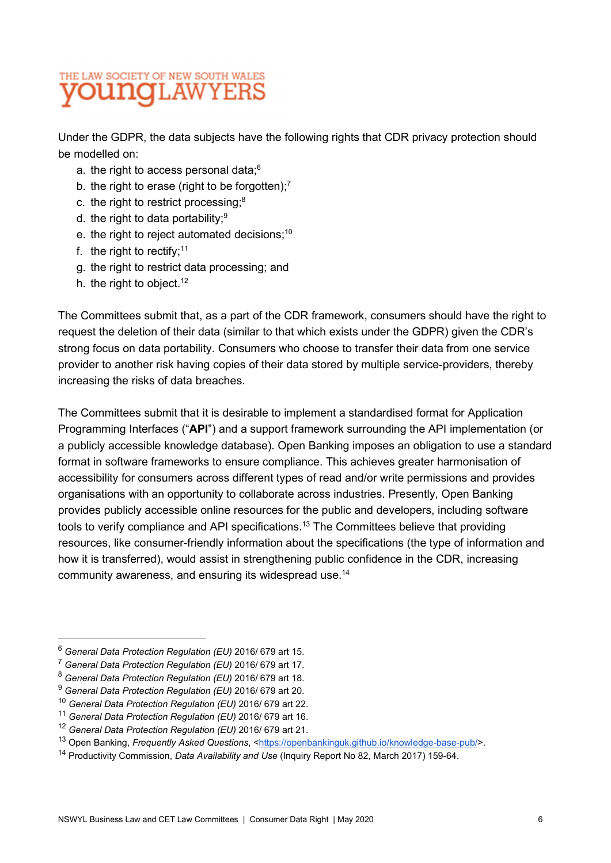Under the GDPR, the data subjects have the following rights that CDR privacy protection should be modelled on:

- a. the right to access personal data:<sup>6</sup>
- a. the right to access personal data;<sup>6</sup><br>b. the right to erase (right to be forgotten);<sup>7</sup> b. the right to erase (right to be forgotten);<sup>7</sup><br>c. the right to restrict processing;<sup>8</sup>
- c. the right to restrict processing;<sup>8</sup><br>d. the right to data portability;<sup>9</sup>
- 
- e. the right to reject automated decisions;<sup>10</sup>
- f. the right to rectify;  $11$
- g. the right to restrict data processing; and
- h. the right to object.<sup>12</sup>

The Committees submit that, as a part of the CDR framework, consumers should have the right to request the deletion of their data (similar to that which exists under the GDPR) given the CDR's strong focus on data portability. Consumers who choose to transfer their data from one service provider to another risk having copies of their data stored by multiple service-providers, thereby increasing the risks of data breaches.

The Committees submit that it is desirable to implement a standardised format for Application Programming Interfaces ("API") and a support framework surrounding the API implementation (or a publicly accessible knowledge database). Open Banking imposes an obligation to use a standard format in software frameworks to ensure compliance. This achieves greater harmonisation of accessibility for consumers across different types of read and/or write permissions and provides organisations with an opportunity to collaborate across industries. Presently, Open Banking provides publicly accessible online resources for the public and developers, including software tools to verify compliance and API specifications.13 The Committees believe that providing resources, like consumer-friendly information about the specifications (the type of information and how it is transferred), would assist in strengthening public confidence in the CDR, increasing community awareness, and ensuring its widespread use.14

<sup>6</sup> General Data Protection Regulation (EU) 2016/ 679 art 15.

<sup>7</sup> General Data Protection Regulation (EU) 2016/ 679 art 17.

 $8$  General Data Protection Regulation (EU) 2016/ 679 art 18.

<sup>&</sup>lt;sup>9</sup> General Data Protection Regulation (EU) 2016/ 679 art 20.

<sup>10</sup> General Data Protection Regulation (EU) 2016/ 679 art 22.

<sup>&</sup>lt;sup>11</sup> General Data Protection Regulation (EU) 2016/ 679 art 16.

<sup>12</sup> General Data Protection Regulation (EU) 2016/ 679 art 21.

<sup>13</sup> Open Banking, Frequently Asked Questions, <https://openbankinguk.github.io/knowledge-base-pub/>.

<sup>&</sup>lt;sup>14</sup> Productivity Commission, *Data Availability and Use* (Inquiry Report No 82, March 2017) 159-64.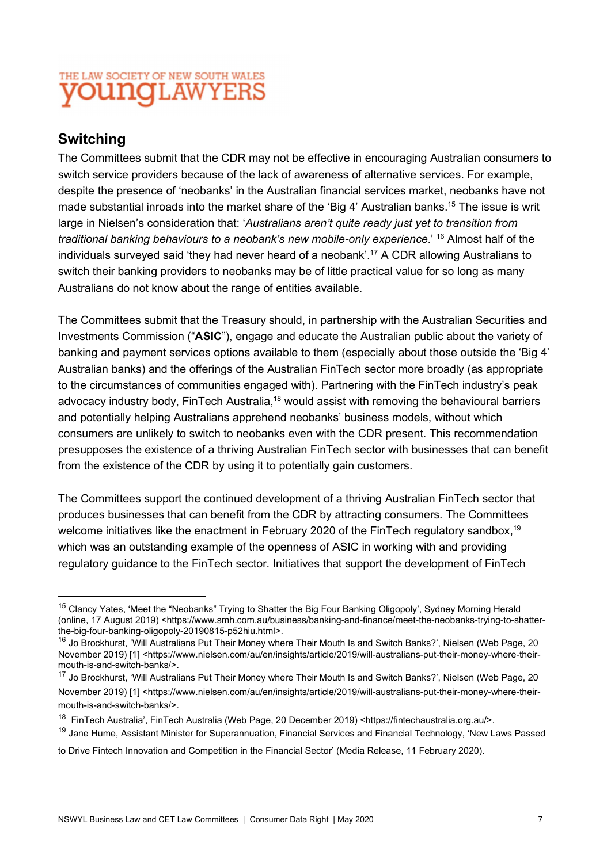## Switching

The Committees submit that the CDR may not be effective in encouraging Australian consumers to switch service providers because of the lack of awareness of alternative services. For example, despite the presence of 'neobanks' in the Australian financial services market, neobanks have not made substantial inroads into the market share of the 'Big 4' Australian banks.15 The issue is writ large in Nielsen's consideration that: 'Australians aren't quite ready just yet to transition from traditional banking behaviours to a neobank's new mobile-only experience.' 16 Almost half of the individuals surveyed said 'they had never heard of a neobank'.17 A CDR allowing Australians to switch their banking providers to neobanks may be of little practical value for so long as many Australians do not know about the range of entities available.

The Committees submit that the Treasury should, in partnership with the Australian Securities and Investments Commission ("ASIC"), engage and educate the Australian public about the variety of banking and payment services options available to them (especially about those outside the 'Big 4' Australian banks) and the offerings of the Australian FinTech sector more broadly (as appropriate to the circumstances of communities engaged with). Partnering with the FinTech industry's peak advocacy industry body, FinTech Australia,<sup>18</sup> would assist with removing the behavioural barriers and potentially helping Australians apprehend neobanks' business models, without which consumers are unlikely to switch to neobanks even with the CDR present. This recommendation presupposes the existence of a thriving Australian FinTech sector with businesses that can benefit from the existence of the CDR by using it to potentially gain customers.

The Committees support the continued development of a thriving Australian FinTech sector that produces businesses that can benefit from the CDR by attracting consumers. The Committees welcome initiatives like the enactment in February 2020 of the FinTech regulatory sandbox,<sup>19</sup> which was an outstanding example of the openness of ASIC in working with and providing regulatory guidance to the FinTech sector. Initiatives that support the development of FinTech

<sup>&</sup>lt;sup>15</sup> Clancy Yates, 'Meet the "Neobanks" Trying to Shatter the Big Four Banking Oligopoly', Sydney Morning Herald (online, 17 August 2019) <https://www.smh.com.au/business/banking-and-finance/meet-the-neobanks-trying-to-shatterthe-big-four-banking-oligopoly-20190815-p52hiu.html>.

<sup>&</sup>lt;sup>16</sup> Jo Brockhurst, 'Will Australians Put Their Money where Their Mouth Is and Switch Banks?', Nielsen (Web Page, 20 November 2019) [1] <https://www.nielsen.com/au/en/insights/article/2019/will-australians-put-their-money-where-theirmouth-is-and-switch-banks/>.

<sup>&</sup>lt;sup>17</sup> Jo Brockhurst, 'Will Australians Put Their Money where Their Mouth Is and Switch Banks?', Nielsen (Web Page, 20 November 2019) [1] <https://www.nielsen.com/au/en/insights/article/2019/will-australians-put-their-money-where-theirmouth-is-and-switch-banks/>.

<sup>18</sup> FinTech Australia', FinTech Australia (Web Page, 20 December 2019) <https://fintechaustralia.org.au/>.

<sup>&</sup>lt;sup>19</sup> Jane Hume, Assistant Minister for Superannuation, Financial Services and Financial Technology, 'New Laws Passed

to Drive Fintech Innovation and Competition in the Financial Sector' (Media Release, 11 February 2020).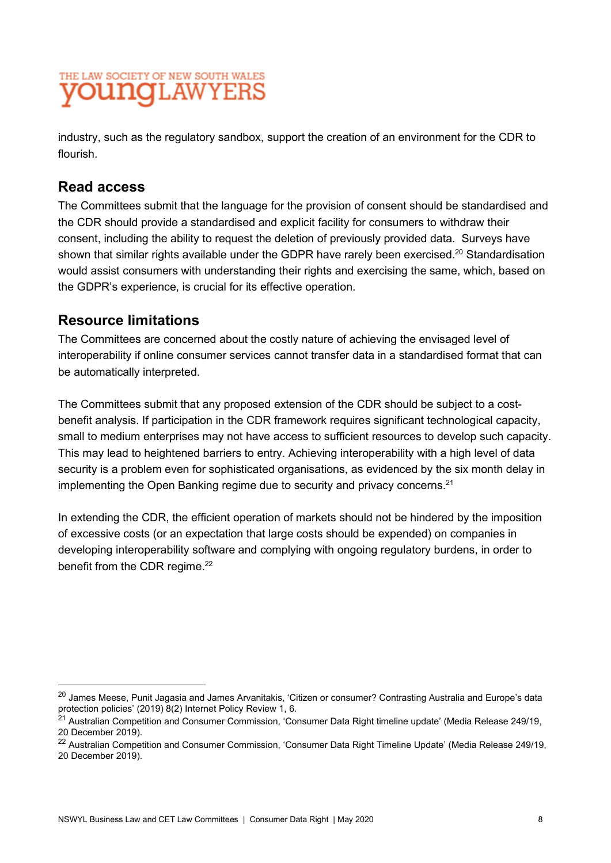industry, such as the regulatory sandbox, support the creation of an environment for the CDR to flourish.

#### Read access

The Committees submit that the language for the provision of consent should be standardised and the CDR should provide a standardised and explicit facility for consumers to withdraw their consent, including the ability to request the deletion of previously provided data. Surveys have shown that similar rights available under the GDPR have rarely been exercised.<sup>20</sup> Standardisation would assist consumers with understanding their rights and exercising the same, which, based on the GDPR's experience, is crucial for its effective operation.

#### Resource limitations

The Committees are concerned about the costly nature of achieving the envisaged level of interoperability if online consumer services cannot transfer data in a standardised format that can be automatically interpreted.

The Committees submit that any proposed extension of the CDR should be subject to a costbenefit analysis. If participation in the CDR framework requires significant technological capacity, small to medium enterprises may not have access to sufficient resources to develop such capacity. This may lead to heightened barriers to entry. Achieving interoperability with a high level of data security is a problem even for sophisticated organisations, as evidenced by the six month delay in implementing the Open Banking regime due to security and privacy concerns.<sup>21</sup>

In extending the CDR, the efficient operation of markets should not be hindered by the imposition of excessive costs (or an expectation that large costs should be expended) on companies in developing interoperability software and complying with ongoing regulatory burdens, in order to benefit from the CDR regime.<sup>22</sup>

 $^{20}$  James Meese, Punit Jagasia and James Arvanitakis, 'Citizen or consumer? Contrasting Australia and Europe's data protection policies' (2019) 8(2) Internet Policy Review 1, 6.

 $^\mathrm{21}$  Australian Competition and Consumer Commission, 'Consumer Data Right timeline update' (Media Release 249/19, 20 December 2019).

<sup>&</sup>lt;sup>22</sup> Australian Competition and Consumer Commission, 'Consumer Data Right Timeline Update' (Media Release 249/19, 20 December 2019).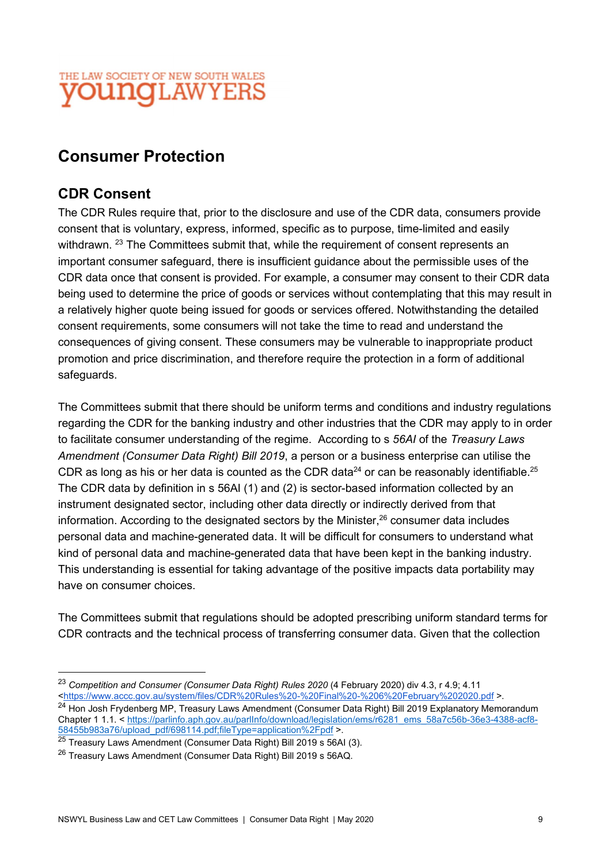## Consumer Protection

#### CDR Consent

The CDR Rules require that, prior to the disclosure and use of the CDR data, consumers provide consent that is voluntary, express, informed, specific as to purpose, time-limited and easily withdrawn. <sup>23</sup> The Committees submit that, while the requirement of consent represents an important consumer safeguard, there is insufficient guidance about the permissible uses of the CDR data once that consent is provided. For example, a consumer may consent to their CDR data being used to determine the price of goods or services without contemplating that this may result in a relatively higher quote being issued for goods or services offered. Notwithstanding the detailed consent requirements, some consumers will not take the time to read and understand the consequences of giving consent. These consumers may be vulnerable to inappropriate product promotion and price discrimination, and therefore require the protection in a form of additional safeguards.

The Committees submit that there should be uniform terms and conditions and industry regulations regarding the CDR for the banking industry and other industries that the CDR may apply to in order to facilitate consumer understanding of the regime. According to s 56AI of the Treasury Laws Amendment (Consumer Data Right) Bill 2019, a person or a business enterprise can utilise the CDR as long as his or her data is counted as the CDR data<sup>24</sup> or can be reasonably identifiable.<sup>25</sup> The CDR data by definition in s 56AI (1) and (2) is sector-based information collected by an instrument designated sector, including other data directly or indirectly derived from that information. According to the designated sectors by the Minister, $26$  consumer data includes personal data and machine-generated data. It will be difficult for consumers to understand what kind of personal data and machine-generated data that have been kept in the banking industry. This understanding is essential for taking advantage of the positive impacts data portability may have on consumer choices.

The Committees submit that regulations should be adopted prescribing uniform standard terms for CDR contracts and the technical process of transferring consumer data. Given that the collection

<sup>&</sup>lt;sup>23</sup> Competition and Consumer (Consumer Data Right) Rules 2020 (4 February 2020) div 4.3, r 4.9; 4.11<br><https://www.accc.gov.au/system/files/CDR%20Rules%20-%20Final%20-%206%20February%202020.pdf >.

<sup>&</sup>lt;sup>24</sup> Hon Josh Frydenberg MP, Treasury Laws Amendment (Consumer Data Right) Bill 2019 Explanatory Memorandum Chapter 1 1.1. < https://parlinfo.aph.gov.au/parlInfo/download/legislation/ems/r6281\_ems\_58a7c56b-36e3-4388-acf8-58455b983a76/upload\_pdf/698114.pdf;fileType=application%2Fpdf >.

<sup>25</sup> Treasury Laws Amendment (Consumer Data Right) Bill 2019 s 56AI (3).

<sup>26</sup> Treasury Laws Amendment (Consumer Data Right) Bill 2019 s 56AQ.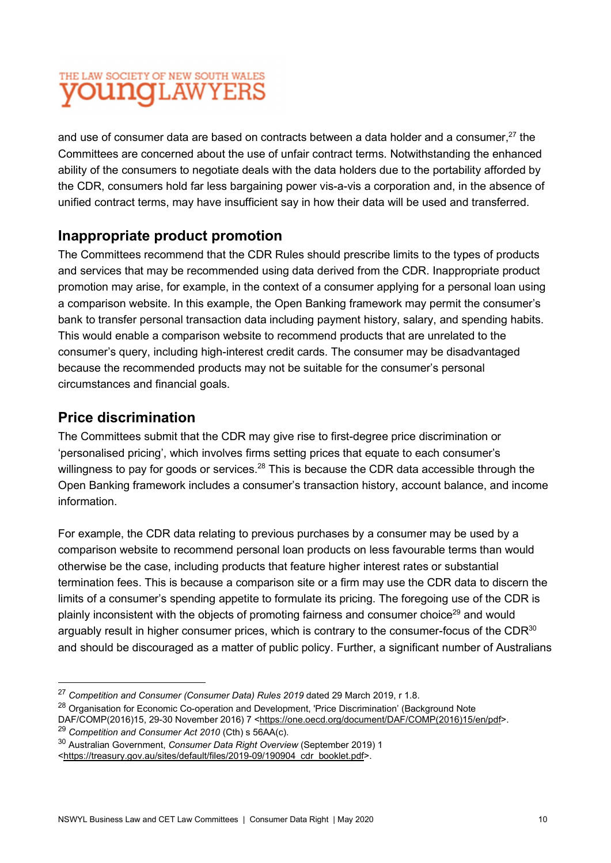and use of consumer data are based on contracts between a data holder and a consumer, $^{27}$  the Committees are concerned about the use of unfair contract terms. Notwithstanding the enhanced ability of the consumers to negotiate deals with the data holders due to the portability afforded by the CDR, consumers hold far less bargaining power vis-a-vis a corporation and, in the absence of unified contract terms, may have insufficient say in how their data will be used and transferred.

#### Inappropriate product promotion

The Committees recommend that the CDR Rules should prescribe limits to the types of products and services that may be recommended using data derived from the CDR. Inappropriate product promotion may arise, for example, in the context of a consumer applying for a personal loan using a comparison website. In this example, the Open Banking framework may permit the consumer's bank to transfer personal transaction data including payment history, salary, and spending habits. This would enable a comparison website to recommend products that are unrelated to the consumer's query, including high-interest credit cards. The consumer may be disadvantaged because the recommended products may not be suitable for the consumer's personal circumstances and financial goals.

### Price discrimination

The Committees submit that the CDR may give rise to first-degree price discrimination or 'personalised pricing', which involves firms setting prices that equate to each consumer's willingness to pay for goods or services.<sup>28</sup> This is because the CDR data accessible through the Open Banking framework includes a consumer's transaction history, account balance, and income information.

For example, the CDR data relating to previous purchases by a consumer may be used by a comparison website to recommend personal loan products on less favourable terms than would otherwise be the case, including products that feature higher interest rates or substantial termination fees. This is because a comparison site or a firm may use the CDR data to discern the limits of a consumer's spending appetite to formulate its pricing. The foregoing use of the CDR is plainly inconsistent with the objects of promoting fairness and consumer choice<sup>29</sup> and would arguably result in higher consumer prices, which is contrary to the consumer-focus of the CDR<sup>30</sup> and should be discouraged as a matter of public policy. Further, a significant number of Australians

 $27$  Competition and Consumer (Consumer Data) Rules 2019 dated 29 March 2019, r 1.8.

<sup>&</sup>lt;sup>28</sup> Organisation for Economic Co-operation and Development, 'Price Discrimination' (Background Note

DAF/COMP(2016)15, 29-30 November 2016) 7 <https://one.oecd.org/document/DAF/COMP(2016)15/en/pdf>.

 $29$  Competition and Consumer Act 2010 (Cth) s 56AA(c).

<sup>&</sup>lt;sup>30</sup> Australian Government, Consumer Data Right Overview (September 2019) 1

<sup>&</sup>lt;https://treasury.gov.au/sites/default/files/2019-09/190904\_cdr\_booklet.pdf>.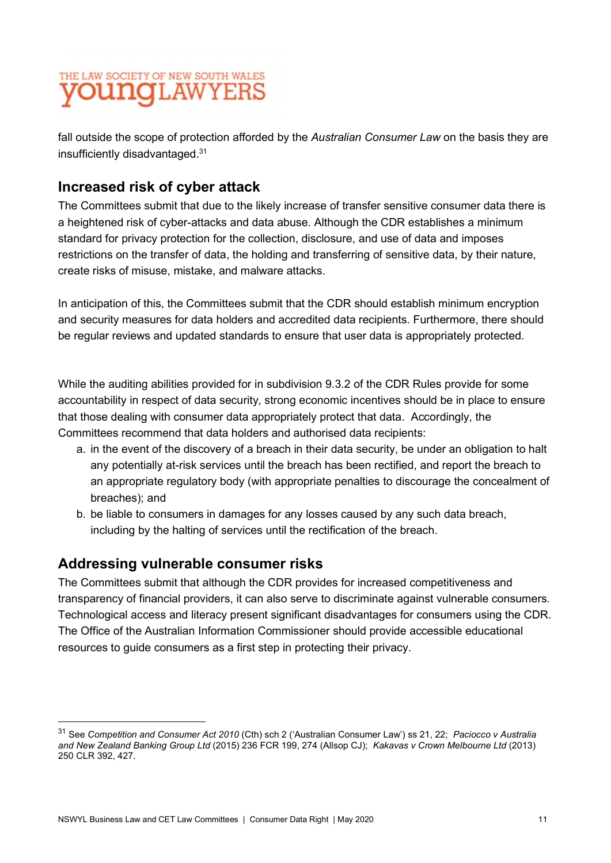fall outside the scope of protection afforded by the Australian Consumer Law on the basis they are insufficiently disadvantaged.31

## Increased risk of cyber attack

The Committees submit that due to the likely increase of transfer sensitive consumer data there is a heightened risk of cyber-attacks and data abuse. Although the CDR establishes a minimum standard for privacy protection for the collection, disclosure, and use of data and imposes restrictions on the transfer of data, the holding and transferring of sensitive data, by their nature, create risks of misuse, mistake, and malware attacks.

In anticipation of this, the Committees submit that the CDR should establish minimum encryption and security measures for data holders and accredited data recipients. Furthermore, there should be regular reviews and updated standards to ensure that user data is appropriately protected.

While the auditing abilities provided for in subdivision 9.3.2 of the CDR Rules provide for some accountability in respect of data security, strong economic incentives should be in place to ensure that those dealing with consumer data appropriately protect that data. Accordingly, the Committees recommend that data holders and authorised data recipients:

- a. in the event of the discovery of a breach in their data security, be under an obligation to halt any potentially at-risk services until the breach has been rectified, and report the breach to an appropriate regulatory body (with appropriate penalties to discourage the concealment of breaches); and
- b. be liable to consumers in damages for any losses caused by any such data breach, including by the halting of services until the rectification of the breach.

### Addressing vulnerable consumer risks

The Committees submit that although the CDR provides for increased competitiveness and transparency of financial providers, it can also serve to discriminate against vulnerable consumers. Technological access and literacy present significant disadvantages for consumers using the CDR. The Office of the Australian Information Commissioner should provide accessible educational resources to guide consumers as a first step in protecting their privacy.

<sup>&</sup>lt;sup>31</sup> See Competition and Consumer Act 2010 (Cth) sch 2 ('Australian Consumer Law') ss 21, 22; Paciocco v Australia and New Zealand Banking Group Ltd (2015) 236 FCR 199, 274 (Allsop CJ); Kakavas v Crown Melbourne Ltd (2013) 250 CLR 392, 427.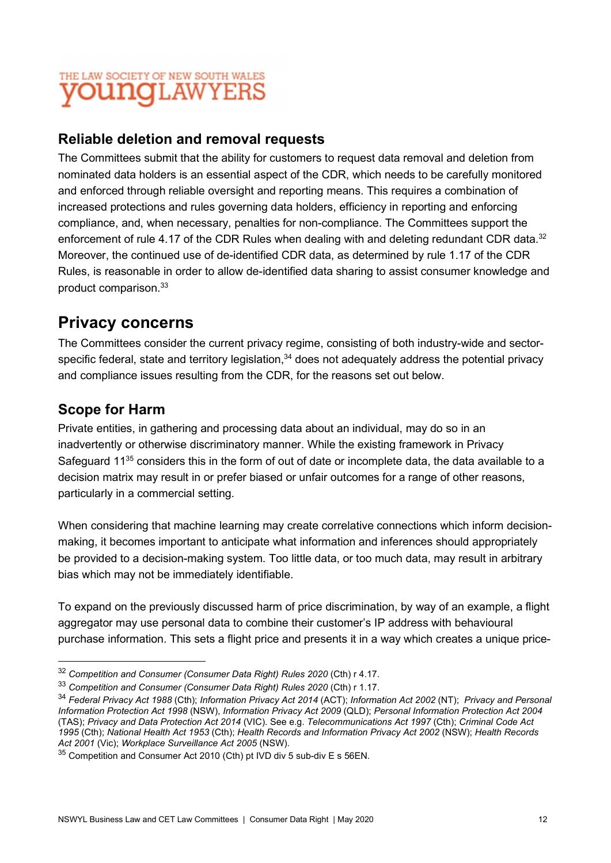### Reliable deletion and removal requests

The Committees submit that the ability for customers to request data removal and deletion from nominated data holders is an essential aspect of the CDR, which needs to be carefully monitored and enforced through reliable oversight and reporting means. This requires a combination of increased protections and rules governing data holders, efficiency in reporting and enforcing compliance, and, when necessary, penalties for non-compliance. The Committees support the enforcement of rule 4.17 of the CDR Rules when dealing with and deleting redundant CDR data.<sup>32</sup> Moreover, the continued use of de-identified CDR data, as determined by rule 1.17 of the CDR Rules, is reasonable in order to allow de-identified data sharing to assist consumer knowledge and  $\mathsf{product}\ \mathsf{comparison.}^{33}$ 

## Privacy concerns

The Committees consider the current privacy regime, consisting of both industry-wide and sectorspecific federal, state and territory legislation,<sup>34</sup> does not adequately address the potential privacy and compliance issues resulting from the CDR, for the reasons set out below.

## Scope for Harm

Private entities, in gathering and processing data about an individual, may do so in an inadvertently or otherwise discriminatory manner. While the existing framework in Privacy Safeguard 11 $35$  considers this in the form of out of date or incomplete data, the data available to a decision matrix may result in or prefer biased or unfair outcomes for a range of other reasons, particularly in a commercial setting.

When considering that machine learning may create correlative connections which inform decisionmaking, it becomes important to anticipate what information and inferences should appropriately be provided to a decision-making system. Too little data, or too much data, may result in arbitrary bias which may not be immediately identifiable.

To expand on the previously discussed harm of price discrimination, by way of an example, a flight aggregator may use personal data to combine their customer's IP address with behavioural purchase information. This sets a flight price and presents it in a way which creates a unique price-

<sup>&</sup>lt;sup>32</sup> Competition and Consumer (Consumer Data Right) Rules 2020 (Cth) r 4.17.

<sup>33</sup> Competition and Consumer (Consumer Data Right) Rules 2020 (Cth) r 1.17.

<sup>&</sup>lt;sup>34</sup> Federal Privacy Act 1988 (Cth); Information Privacy Act 2014 (ACT); Information Act 2002 (NT); Privacy and Personal Information Protection Act 1998 (NSW), Information Privacy Act 2009 (QLD); Personal Information Protection Act 2004 (TAS); Privacy and Data Protection Act 2014 (VIC). See e.g. Telecommunications Act 1997 (Cth); Criminal Code Act 1995 (Cth); National Health Act 1953 (Cth); Health Records and Information Privacy Act 2002 (NSW); Health Records Act 2001 (Vic); Workplace Surveillance Act 2005 (NSW).

 $35$  Competition and Consumer Act 2010 (Cth) pt IVD div 5 sub-div E s 56EN.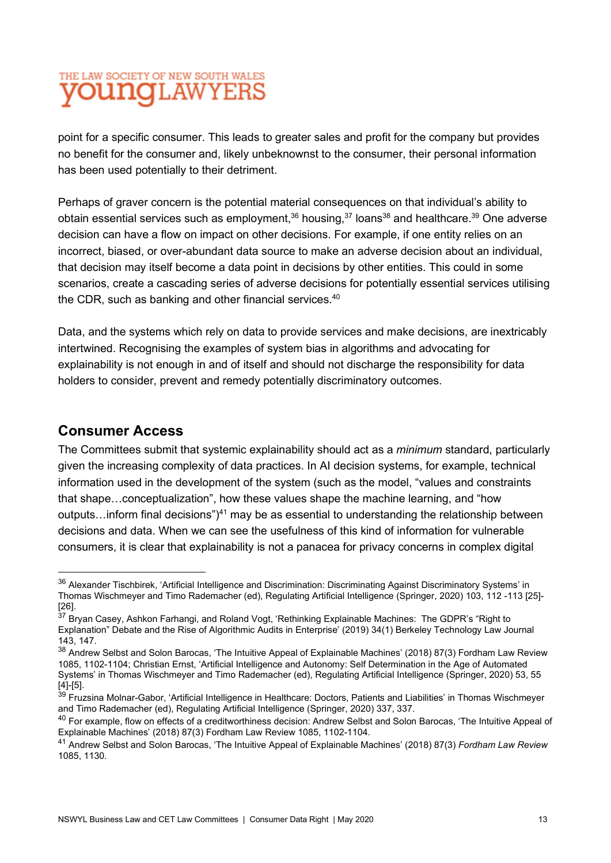point for a specific consumer. This leads to greater sales and profit for the company but provides no benefit for the consumer and, likely unbeknownst to the consumer, their personal information has been used potentially to their detriment.

Perhaps of graver concern is the potential material consequences on that individual's ability to obtain essential services such as employment,  $36$  housing,  $37$  loans  $38$  and healthcare.  $39$  One adverse decision can have a flow on impact on other decisions. For example, if one entity relies on an incorrect, biased, or over-abundant data source to make an adverse decision about an individual, that decision may itself become a data point in decisions by other entities. This could in some scenarios, create a cascading series of adverse decisions for potentially essential services utilising the CDR, such as banking and other financial services.<sup>40</sup>

Data, and the systems which rely on data to provide services and make decisions, are inextricably intertwined. Recognising the examples of system bias in algorithms and advocating for explainability is not enough in and of itself and should not discharge the responsibility for data holders to consider, prevent and remedy potentially discriminatory outcomes.

#### Consumer Access

The Committees submit that systemic explainability should act as a *minimum* standard, particularly given the increasing complexity of data practices. In AI decision systems, for example, technical information used in the development of the system (such as the model, "values and constraints that shape…conceptualization", how these values shape the machine learning, and "how outputs...inform final decisions")<sup>41</sup> may be as essential to understanding the relationship between decisions and data. When we can see the usefulness of this kind of information for vulnerable consumers, it is clear that explainability is not a panacea for privacy concerns in complex digital

<sup>&</sup>lt;sup>36</sup> Alexander Tischbirek. 'Artificial Intelligence and Discrimination: Discriminating Against Discriminatory Systems' in Thomas Wischmeyer and Timo Rademacher (ed), Regulating Artificial Intelligence (Springer, 2020) 103, 112 -113 [25]- [26].

<sup>&</sup>lt;sup>37</sup> Bryan Casey, Ashkon Farhangi, and Roland Vogt, 'Rethinking Explainable Machines: The GDPR's "Right to Explanation" Debate and the Rise of Algorithmic Audits in Enterprise' (2019) 34(1) Berkeley Technology Law Journal 143, 147.

<sup>&</sup>lt;sup>38</sup> Andrew Selbst and Solon Barocas, 'The Intuitive Appeal of Explainable Machines' (2018) 87(3) Fordham Law Review 1085, 1102-1104; Christian Ernst, 'Artificial Intelligence and Autonomy: Self Determination in the Age of Automated Systems' in Thomas Wischmeyer and Timo Rademacher (ed), Regulating Artificial Intelligence (Springer, 2020) 53, 55 [4]-[5].

 $39$  Fruzsina Molnar-Gabor, 'Artificial Intelligence in Healthcare: Doctors, Patients and Liabilities' in Thomas Wischmeyer and Timo Rademacher (ed), Regulating Artificial Intelligence (Springer, 2020) 337, 337.

<sup>&</sup>lt;sup>40</sup> For example, flow on effects of a creditworthiness decision: Andrew Selbst and Solon Barocas, 'The Intuitive Appeal of Explainable Machines' (2018) 87(3) Fordham Law Review 1085, 1102-1104.

<sup>&</sup>lt;sup>41</sup> Andrew Selbst and Solon Barocas, 'The Intuitive Appeal of Explainable Machines' (2018) 87(3) Fordham Law Review 1085, 1130.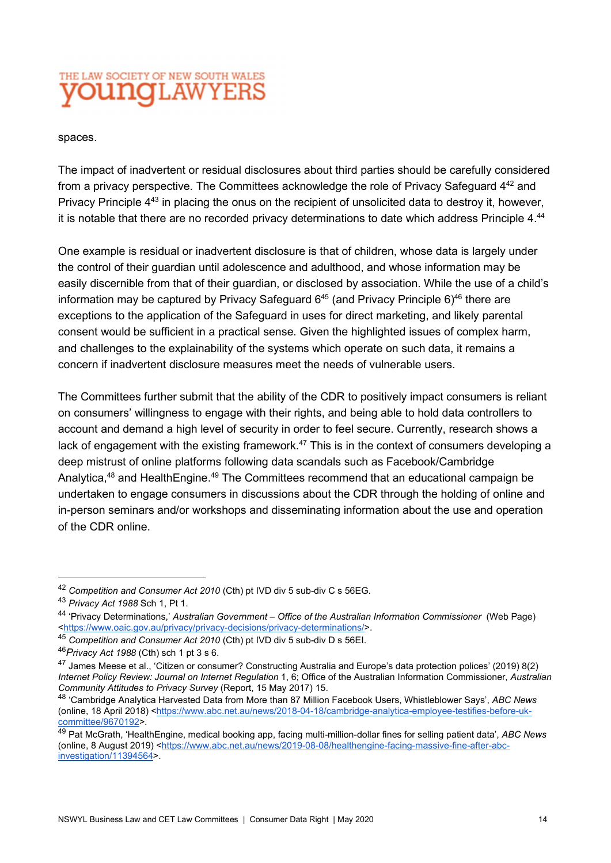#### spaces.

The impact of inadvertent or residual disclosures about third parties should be carefully considered from a privacy perspective. The Committees acknowledge the role of Privacy Safeguard 442 and Privacy Principle 4<sup>43</sup> in placing the onus on the recipient of unsolicited data to destroy it, however, it is notable that there are no recorded privacy determinations to date which address Principle 4.44

 One example is residual or inadvertent disclosure is that of children, whose data is largely under the control of their guardian until adolescence and adulthood, and whose information may be easily discernible from that of their guardian, or disclosed by association. While the use of a child's information may be captured by Privacy Safeguard  $6^{45}$  (and Privacy Principle  $6)^{46}$  there are exceptions to the application of the Safeguard in uses for direct marketing, and likely parental consent would be sufficient in a practical sense. Given the highlighted issues of complex harm, and challenges to the explainability of the systems which operate on such data, it remains a concern if inadvertent disclosure measures meet the needs of vulnerable users.

The Committees further submit that the ability of the CDR to positively impact consumers is reliant on consumers' willingness to engage with their rights, and being able to hold data controllers to account and demand a high level of security in order to feel secure. Currently, research shows a lack of engagement with the existing framework.<sup>47</sup> This is in the context of consumers developing a deep mistrust of online platforms following data scandals such as Facebook/Cambridge Analytica,<sup>48</sup> and HealthEngine.<sup>49</sup> The Committees recommend that an educational campaign be undertaken to engage consumers in discussions about the CDR through the holding of online and in-person seminars and/or workshops and disseminating information about the use and operation of the CDR online.

<sup>&</sup>lt;sup>42</sup> Competition and Consumer Act 2010 (Cth) pt IVD div 5 sub-div C s 56EG.

<sup>43</sup> Privacy Act 1988 Sch 1, Pt 1.

<sup>44 &#</sup>x27;Privacy Determinations,' Australian Government – Office of the Australian Information Commissioner (Web Page)<br><https://www.oaic.gov.au/privacy/privacy-decisions/privacy-determinations/>.

<sup>&</sup>lt;sup>45</sup> Competition and Consumer Act 2010 (Cth) pt IVD div 5 sub-div D s 56EI.

 $46$ Privacy Act 1988 (Cth) sch 1 pt 3 s 6.

<sup>47</sup> James Meese et al., 'Citizen or consumer? Constructing Australia and Europe's data protection polices' (2019) 8(2) Internet Policy Review: Journal on Internet Regulation 1, 6; Office of the Australian Information Commissioner, Australian Community Attitudes to Privacy Survey (Report, 15 May 2017) 15.

<sup>48</sup> 'Cambridge Analytica Harvested Data from More than 87 Million Facebook Users, Whistleblower Says', ABC News (online, 18 April 2018) <https://www.abc.net.au/news/2018-04-18/cambridge-analytica-employee-testifies-before-ukcommittee/9670192>.

<sup>&</sup>lt;sup>49</sup> Pat McGrath, 'HealthEngine, medical booking app, facing multi-million-dollar fines for selling patient data', ABC News (online, 8 August 2019) <https://www.abc.net.au/news/2019-08-08/healthengine-facing-massive-fine-after-abcinvestigation/11394564>.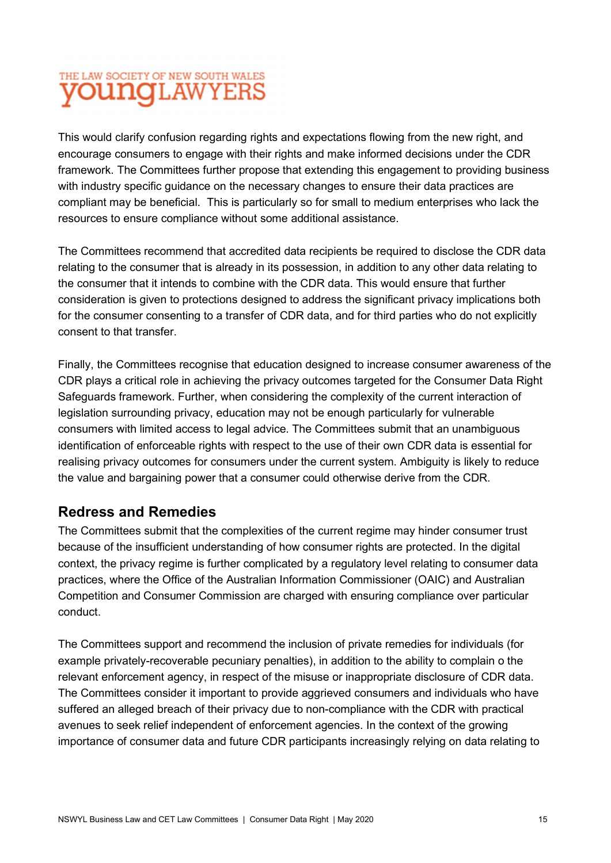This would clarify confusion regarding rights and expectations flowing from the new right, and encourage consumers to engage with their rights and make informed decisions under the CDR framework. The Committees further propose that extending this engagement to providing business with industry specific guidance on the necessary changes to ensure their data practices are compliant may be beneficial. This is particularly so for small to medium enterprises who lack the resources to ensure compliance without some additional assistance.

The Committees recommend that accredited data recipients be required to disclose the CDR data relating to the consumer that is already in its possession, in addition to any other data relating to the consumer that it intends to combine with the CDR data. This would ensure that further consideration is given to protections designed to address the significant privacy implications both for the consumer consenting to a transfer of CDR data, and for third parties who do not explicitly consent to that transfer.

Finally, the Committees recognise that education designed to increase consumer awareness of the CDR plays a critical role in achieving the privacy outcomes targeted for the Consumer Data Right Safeguards framework. Further, when considering the complexity of the current interaction of legislation surrounding privacy, education may not be enough particularly for vulnerable consumers with limited access to legal advice. The Committees submit that an unambiguous identification of enforceable rights with respect to the use of their own CDR data is essential for realising privacy outcomes for consumers under the current system. Ambiguity is likely to reduce the value and bargaining power that a consumer could otherwise derive from the CDR.

### Redress and Remedies

The Committees submit that the complexities of the current regime may hinder consumer trust because of the insufficient understanding of how consumer rights are protected. In the digital context, the privacy regime is further complicated by a regulatory level relating to consumer data practices, where the Office of the Australian Information Commissioner (OAIC) and Australian Competition and Consumer Commission are charged with ensuring compliance over particular conduct.

The Committees support and recommend the inclusion of private remedies for individuals (for example privately-recoverable pecuniary penalties), in addition to the ability to complain o the relevant enforcement agency, in respect of the misuse or inappropriate disclosure of CDR data. The Committees consider it important to provide aggrieved consumers and individuals who have suffered an alleged breach of their privacy due to non-compliance with the CDR with practical avenues to seek relief independent of enforcement agencies. In the context of the growing importance of consumer data and future CDR participants increasingly relying on data relating to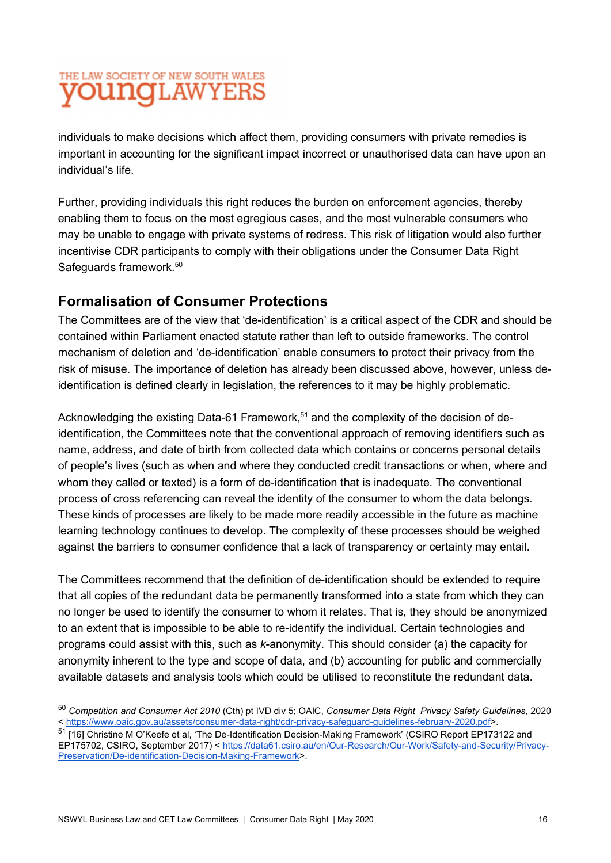individuals to make decisions which affect them, providing consumers with private remedies is important in accounting for the significant impact incorrect or unauthorised data can have upon an individual's life.

Further, providing individuals this right reduces the burden on enforcement agencies, thereby enabling them to focus on the most egregious cases, and the most vulnerable consumers who may be unable to engage with private systems of redress. This risk of litigation would also further incentivise CDR participants to comply with their obligations under the Consumer Data Right Safeguards framework.<sup>50</sup>

## Formalisation of Consumer Protections

The Committees are of the view that 'de-identification' is a critical aspect of the CDR and should be contained within Parliament enacted statute rather than left to outside frameworks. The control mechanism of deletion and 'de-identification' enable consumers to protect their privacy from the risk of misuse. The importance of deletion has already been discussed above, however, unless deidentification is defined clearly in legislation, the references to it may be highly problematic.

Acknowledging the existing Data-61 Framework, $51$  and the complexity of the decision of deidentification, the Committees note that the conventional approach of removing identifiers such as name, address, and date of birth from collected data which contains or concerns personal details of people's lives (such as when and where they conducted credit transactions or when, where and whom they called or texted) is a form of de-identification that is inadequate. The conventional process of cross referencing can reveal the identity of the consumer to whom the data belongs. These kinds of processes are likely to be made more readily accessible in the future as machine learning technology continues to develop. The complexity of these processes should be weighed against the barriers to consumer confidence that a lack of transparency or certainty may entail.

The Committees recommend that the definition of de-identification should be extended to require that all copies of the redundant data be permanently transformed into a state from which they can no longer be used to identify the consumer to whom it relates. That is, they should be anonymized to an extent that is impossible to be able to re-identify the individual. Certain technologies and programs could assist with this, such as k-anonymity. This should consider (a) the capacity for anonymity inherent to the type and scope of data, and (b) accounting for public and commercially available datasets and analysis tools which could be utilised to reconstitute the redundant data.

<sup>&</sup>lt;sup>50</sup> Competition and Consumer Act 2010 (Cth) pt IVD div 5; OAIC, Consumer Data Right Privacy Safety Guidelines, 2020 < https://www.oaic.gov.au/assets/consumer-data-right/cdr-privacy-safeguard-guidelines-february-2020.pdf>.

<sup>&</sup>lt;sup>51</sup> [16] Christine M O'Keefe et al, 'The De-Identification Decision-Making Framework' (CSIRO Report EP173122 and EP175702, CSIRO, September 2017) < https://data61.csiro.au/en/Our-Research/Our-Work/Safety-and-Security/Privacy-Preservation/De-identification-Decision-Making-Framework>.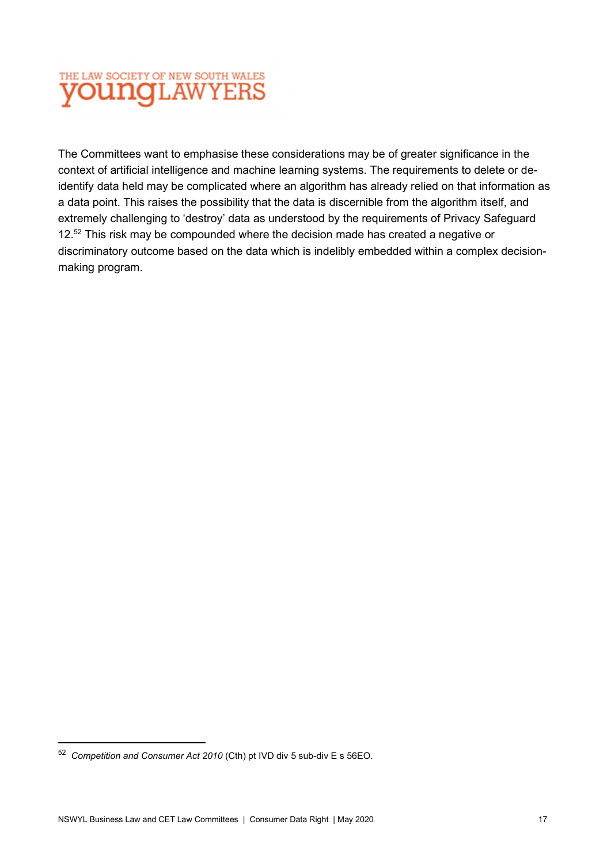

The Committees want to emphasise these considerations may be of greater significance in the context of artificial intelligence and machine learning systems. The requirements to delete or deidentify data held may be complicated where an algorithm has already relied on that information as a data point. This raises the possibility that the data is discernible from the algorithm itself, and extremely challenging to 'destroy' data as understood by the requirements of Privacy Safeguard 12.<sup>52</sup> This risk may be compounded where the decision made has created a negative or discriminatory outcome based on the data which is indelibly embedded within a complex decisionmaking program.

<sup>52</sup> Competition and Consumer Act 2010 (Cth) pt IVD div 5 sub-div E s 56EO.